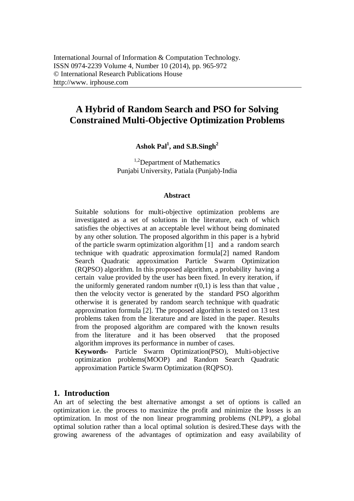# **A Hybrid of Random Search and PSO for Solving Constrained Multi-Objective Optimization Problems**

**Ashok Pal<sup>1</sup> , and S.B.Singh<sup>2</sup>**

<sup>1,2</sup>Department of Mathematics Punjabi University, Patiala (Punjab)-India

#### **Abstract**

Suitable solutions for multi-objective optimization problems are investigated as a set of solutions in the literature, each of which satisfies the objectives at an acceptable level without being dominated by any other solution. The proposed algorithm in this paper is a hybrid of the particle swarm optimization algorithm [1] and a random search technique with quadratic approximation formula[2] named Random Search Quadratic approximation Particle Swarm Optimization (RQPSO) algorithm. In this proposed algorithm, a probability having a certain value provided by the user has been fixed. In every iteration, if the uniformly generated random number  $r(0,1)$  is less than that value, then the velocity vector is generated by the standard PSO algorithm otherwise it is generated by random search technique with quadratic approximation formula [2]. The proposed algorithm is tested on 13 test problems taken from the literature and are listed in the paper. Results from the proposed algorithm are compared with the known results from the literature and it has been observed that the proposed algorithm improves its performance in number of cases. **Keywords-** Particle Swarm Optimization(PSO), Multi-objective

optimization problems(MOOP) and Random Search Quadratic approximation Particle Swarm Optimization (RQPSO).

## **1. Introduction**

An art of selecting the best alternative amongst a set of options is called an optimization i.e. the process to maximize the profit and minimize the losses is an optimization. In most of the non linear programming problems (NLPP), a global optimal solution rather than a local optimal solution is desired.These days with the growing awareness of the advantages of optimization and easy availability of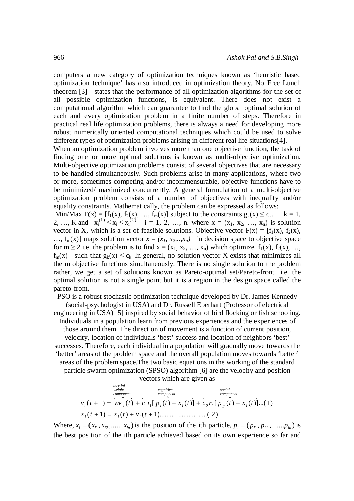computers a new category of optimization techniques known as 'heuristic based optimization technique' has also introduced in optimization theory. No Free Lunch theorem [3] states that the performance of all optimization algorithms for the set of all possible optimization functions, is equivalent. There does not exist a computational algorithm which can guarantee to find the global optimal solution of each and every optimization problem in a finite number of steps. Therefore in practical real life optimization problems, there is always a need for developing more robust numerically oriented computational techniques which could be used to solve different types of optimization problems arising in different real life situations[4].

When an optimization problem involves more than one objective function, the task of finding one or more optimal solutions is known as multi-objective optimization. Multi-objective optimization problems consist of several objectives that are necessary to be handled simultaneously. Such problems arise in many applications, where two or more, sometimes competing and/or incommensurable, objective functions have to be minimized/ maximized concurrently. A general formulation of a multi-objective optimization problem consists of a number of objectives with inequality and/or equality constraints. Mathematically, the problem can be expressed as follows:

Min/Max  $F(x) = [f_1(x), f_2(x), ..., f_m(x)]$  subject to the constraints  $g_k(x) \le c_k$ ,  $k = 1$ , 2, …, K and  $x_i^{(L)} \le x_i \le x_i^{(U)}$  i = 1, 2, …, n. where  $x = (x_1, x_2, ..., x_n)$  is solution vector in X, which is a set of feasible solutions. Objective vector  $F(x) = [f_1(x), f_2(x)]$  $..., f_m(x)$  maps solution vector  $x = (x_1, x_2, ..., x_n)$  in decision space to objective space for  $m \ge 2$  i.e. the problem is to find  $x = (x_1, x_2, ..., x_n)$  which optimize  $f_1(x), f_2(x), ...,$  $f_m(x)$  such that  $g_k(x) \leq c_k$ . In general, no solution vector X exists that minimizes all the m objective functions simultaneously. There is no single solution to the problem rather, we get a set of solutions known as Pareto-optimal set/Pareto-front i.e. the optimal solution is not a single point but it is a region in the design space called the pareto-front.

PSO is a robust stochastic optimization technique developed by Dr. James Kennedy (social-psychologist in USA) and Dr. Russell Eberhart (Professor of electrical engineering in USA) [5] inspired by social behavior of bird flocking or fish schooling.

Individuals in a population learn from previous experiences and the experiences of those around them. The direction of movement is a function of current position, velocity, location of individuals 'best' success and location of neighbors 'best' successes. Therefore, each individual in a population will gradually move towards the 'better' areas of the problem space and the overall population moves towards 'better' areas of the problem space.The two basic equations in the working of the standard particle swarm optimization (SPSO) algorithm [6] are the velocity and position

vectors which are given as

*inertial*

$$
v_i(t+1) = \frac{\sum_{\substack{\text{weight} \\ \text{component} \\ \text{output} \\ x_i(t+1) = x_i(t) + v_i(t+1) \dots \dots \dots \dots \dots \dots \dots \dots (2)}} - \frac{\sum_{\substack{\text{social} \\ \text{component} \\ \text{component} \\ x_i(t+1) = x_i(t) + v_i(t+1) \dots \dots \dots \dots \dots \dots (2)}} - \frac{\sum_{\substack{\text{social} \\ \text{component} \\ \text{component} \\ x_i(t) = x_i(t) \dots (1)}} - \frac{\sum_{\substack{\text{social} \\ \text{component} \\ \text{component} \\ x_i(t) = x_i(t) \dots (1)}} - \frac{\sum_{\substack{\text{social} \\ \text{component} \\ x_i(t) = x_i(t) \dots (1)}} - \frac{\sum_{\substack{\text{second} \\ \text{component} \\ x_i(t) = x_i(t) \dots (1)}} - \frac{\sum_{\substack{\text{second} \\ \text{component} \\ x_i(t) = x_i(t) \dots (1)}} - \frac{\sum_{\substack{\text{second} \\ \text{component} \\ x_i(t) = x_i(t) \dots (1)}} - \frac{\sum_{\substack{\text{second} \\ \text{component} \\ x_i(t) = x_i(t) \dots (1)}} - \frac{\sum_{\substack{\text{second} \\ \text{component} \\ x_i(t) = x_i(t) \dots (1)}} - \frac{\sum_{\substack{\text{second} \\ \text{component} \\ x_i(t) = x_i(t) \dots (1)}} - \frac{\sum_{\substack{\text{second} \\ \text{component} \\ x_i(t) = x_i(t) \dots (1)}} - \frac{\sum_{\substack{\text{second} \\ \text{component} \\ x_i(t) = x_i(t) \dots (1)}} - \frac{\sum_{\substack{\text{second} \\ \text{component} \\ x_i(t) = x_i(t) \dots (1)}} - \frac{\sum_{\substack{\text{second} \\ \text{component} \\ x_i(t) = x_i(t) \dots (1)}} - \frac{\sum_{\substack{\text{second} \\ \text{correct} \\ x_i(t) = x_i(t) \dots (1)}} - \frac{\sum_{\substack{\text{second} \\ \text{correct} \\ x_i(t) = x_i(t) \dots (1)}} - \frac{\sum_{\substack{\text{second} \\ \text{correct} \\ x_i(t) = x_i(t) \dots (1)}} - \frac{\sum_{\substack{\text{second} \\ \text{correct} \\ x_i(t) = x_i(t) \dots (1)}} - \frac{\sum_{\substack{\text{second} \\ \text{correct} \\ x
$$

Where,  $x_i = (x_{i1}, x_{i2}, \dots, x_{in})$  is the position of the ith particle,  $p_i = (p_{i1}, p_{i2}, \dots, p_{in})$  is the best position of the ith particle achieved based on its own experience so far and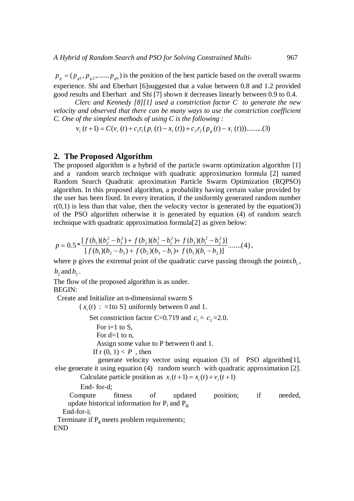$p_{g} = (p_{g1}, p_{g2}, \dots, p_{gn})$  is the position of the best particle based on the overall swarms experience. Shi and Eberhart [6]suggested that a value between 0.8 and 1.2 provided good results and Eberhart and Shi [7] shown it decreases linearly between 0.9 to 0.4.

*Clerc and Kennedy [8][1] used a constriction factor C to generate the new velocity and observed that there can be many ways to use the constriction coefficient C. One of the simplest methods of using C is the following :*

$$
v_i(t+1) = C(v_i(t) + c_1 r_1 (p_i(t) - x_i(t)) + c_2 r_2 (p_g(t) - x_i(t))) \dots \dots \dots (3)
$$

#### **2. The Proposed Algorithm**

The proposed algorithm is a hybrid of the particle swarm optimization algorithm [1] and a random search technique with quadratic approximation formula [2] named Random Search Quadratic aproximation Particle Swarm Optimization (RQPSO) algorithm. In this proposed algorithm, a probability having certain value provided by the user has been fixed. In every iteration, if the uniformly generated random number  $r(0,1)$  is less than that value, then the velocity vector is generated by the equation(3) of the PSO algorithm otherwise it is generated by equation (4) of random search technique with quadratic approximation formula[2] as given below:

$$
p = 0.5 * \frac{[f(b_1)(b_2^2 - b_3^2) + f(b_2)(b_3^2 - b_1^2) + f(b_3)(b_1^2 - b_2^2)]}{[f(b_1)(b_2 - b_3) + f(b_2)(b_3 - b_1) + f(b_3)(b_1 - b_2)]}
$$
......(4),

where p gives the extremal point of the quadratic curve passing through the points  $b_1$ ,  $b_2$  and  $b_3$ .

The flow of the proposed algorithm is as under. BEGIN:

Create and Initialize an n-dimensional swarm S

 $\{x_i(t) : =1$ to S uniformly between 0 and 1. Set constriction factor C=0.719 and  $c_1 = c_2 = 2.0$ . For  $i=1$  to S, For  $d=1$  to n, Assign some value to P between 0 and 1. If  $r(0, 1) < P$ , then

 generate velocity vector using equation (3) of PSO algorithm[1], else generate it using equation (4) random search with quadratic approximation [2].

Calculate particle position as  $x_i(t+1) = x_i(t) + v_i(t+1)$ 

End- for-d;

 Compute fitness of updated position; if needed, update historical information for  $P_i$  and  $P_g$ .

End-for-i;

Terminate if  $P_g$  meets problem requirements;

END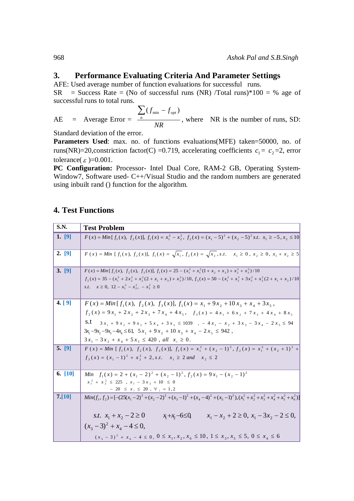### **3. Performance Evaluating Criteria And Parameter Settings**

AFE: Used average number of function evaluations for successful runs.

 $SR$  = Success Rate = (No of successful runs (NR) /Total runs)\*100 = % age of successful runs to total runs.

 $AE = Average Error =$ *NR*  $f_{\min} - f$  $\sum_{n} (f_{\min} - f_{opt})$ , where NR is the number of runs, SD:

Standard deviation of the error.

Parameters Used: max. no. of functions evaluations(MFE) taken=50000, no. of runs(NR)=20, constriction factor(C) = 0.719, accelerating coefficients  $c_1 = c_2 = 2$ , error tolerance( $\varepsilon$ )=0.001.

**PC Configuration:** Processor- Intel Dual Core, RAM-2 GB, Operating System-Window7, Software used- C++/Visual Studio and the random numbers are generated using inbuilt rand () function for the algorithm.

# **4. Test Functions**

| <b>S.N.</b> | <b>Test Problem</b>                                                                                                                                                                                                                                                                                       |
|-------------|-----------------------------------------------------------------------------------------------------------------------------------------------------------------------------------------------------------------------------------------------------------------------------------------------------------|
| 1. [9]      | $F(x) = Min[f_1(x), f_2(x)], f_1(x) = x_1^2 - x_2^2, f_2(x) = (x_1 - 5)^2 + (x_2 - 5)^2 s.t. x_1 \ge -5, x_2 \le 10$                                                                                                                                                                                      |
| 2. [9]      | $F(x) = Min$ [ $f_1(x), f_2(x)$ ], $f_1(x) = \sqrt{x_1, f_2(x)} = \sqrt{x_2, s.t.}$ $x_1 \ge 0, x_2 \ge 0, x_1 + x_2 \ge 5$                                                                                                                                                                               |
| 3. [9]      | $F(x) = Min[f_1(x), f_2(x), f_3(x)], f_1(x) = 25 - (x_1^3 + x_1^2(1 + x_2 + x_3) + x_2^3 + x_3^3)/10$<br>$f_2(x) = 35 - (x_1^3 + 2x_2^3 + x_2^2(2 + x_1 + x_3) + x_3^3)/10$ , $f_3(x) = 50 - (x_1^3 + x_2^3 + 3x_3^3 + x_3^2(2 + x_1 + x_2)/10$<br>s.t. $x \ge 0$ , $12 - x_1^2 - x_2^2$ , $-x_3^2 \ge 0$ |
| 4. [9]      | $F(x) = Min[f_1(x), f_2(x), f_3(x)], f_1(x) = x_1 + 9x_2 + 10x_3 + x_4 + 3x_5,$                                                                                                                                                                                                                           |
|             | $f_2(x) = 9x_1 + 2x_2 + 2x_3 + 7x_4 + 4x_5$ , $f_3(x) = 4x_1 + 6x_2 + 7x_3 + 4x_4 + 8x_5$                                                                                                                                                                                                                 |
|             | s.t<br>$3x_1 + 9x_2 + 9x_3 + 5x_4 + 3x_5 \le 1039$ , $-4x_1 - x_2 + 3x_3 - 3x_4 - 2x_5 \le 94$                                                                                                                                                                                                            |
|             | $3x_1 - 9x_2 - 9x_3 - 4x_4 \le 61$ , $5x_1 + 9x_2 + 10x_3 + x_4 - 2x_5 \le 942$ ,                                                                                                                                                                                                                         |
|             | $3x_1 - 3x_2 + x_4 + 5x_5 \le 420$ , all $x_i \ge 0$ .                                                                                                                                                                                                                                                    |
| 5. [9]      | $F(x) = Min [f_1(x), f_2(x), f_3(x)], f_1(x) = x_1^2 + (x_2 - 1)^2, f_2(x) = x_1^2 + (x_2 + 1)^2 +$                                                                                                                                                                                                       |
|             | $f_1(x) = (x_1 - 1)^2 + x_2^2 + 2$ , s.t. $x_1 \ge 2$ and $x_2 \le 2$                                                                                                                                                                                                                                     |
| 6. [10]     | Min $f_1(x) = 2 + (x_1 - 2)^2 + (x_2 - 1)^2$ , $f_2(x) = 9x_1 - (x_2 - 1)^2$                                                                                                                                                                                                                              |
|             | $x_1^2 + x_2^2 \le 225$ , $x_1 - 3x_2 + 10 \le 0$                                                                                                                                                                                                                                                         |
| 7. [10]     | $-20 \le x_i \le 20$ , $\forall i = 1, 2$                                                                                                                                                                                                                                                                 |
|             | $Min(f_1, f_2) = [-(25(x_1-2)^2 + (x_2-2)^2 + (x_3-1)^2 + (x_4-4)^2 + (x_5-1)^2), (x_1^2 + x_2^2 + x_3^2 + x_4^2 + x_5^2 + x_6^2)]$                                                                                                                                                                       |
|             | s.t. $x_1 + x_2 - 2 \ge 0$<br>$x_1 - x_2 + 2 \ge 0$ , $x_1 - 3x_2 - 2 \le 0$ ,<br>$x_1+x_2-6\leq 0$                                                                                                                                                                                                       |
|             | $(x_3-3)^2 + x_4 - 4 \leq 0$                                                                                                                                                                                                                                                                              |
|             | $(x_{5}-3)^{2} + x_{6} - 4 \le 0$ , $0 \le x_{1}, x_{2}, x_{6} \le 10$ , $1 \le x_{3}, x_{5} \le 5$ , $0 \le x_{4} \le 6$                                                                                                                                                                                 |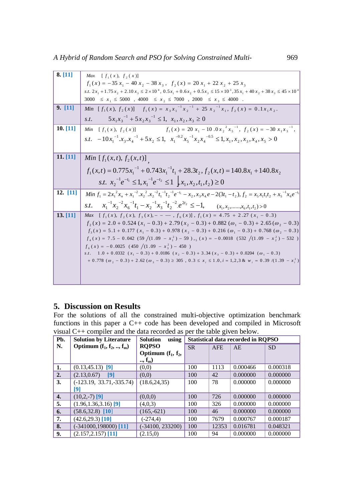| 8. [11]  | $[f_1(x), f_2(x)]$<br>Max                                                                                                                                                      |
|----------|--------------------------------------------------------------------------------------------------------------------------------------------------------------------------------|
|          | $f_1(x) = -35 x_1 - 40 x_2 - 38 x_3$ , $f_2(x) = 20 x_1 + 22 x_2 + 25 x_3$                                                                                                     |
|          | s.t. $2x_1 + 1.75x_2 + 2.10x_3 \le 2 \times 10^4$ , $0.5x_1 + 0.6x_2 + 0.5x_3 \le 15 \times 10^3$ , $35x_1 + 40x_2 + 38x_3 \le 45 \times 10^4$                                 |
|          | 3000 $\leq x_1 \leq 5000$ , 4000 $\leq x_2 \leq 7000$ , 2000 $\leq x_3 \leq 4000$ .                                                                                            |
| 9. [11]  | Min $[f_1(x), f_2(x)]$ $f_1(x) = x_3x_1^{-1}x_2^{-1} + 25x_2^{-1}x_1, f_2(x) = 0.1x_1x_2$ .                                                                                    |
|          | $5x_1x_3^{-1} + 5x_2x_3^{-1} \le 1$ , $x_1, x_2, x_3 \ge 0$<br>S.t.                                                                                                            |
| 10. [11] | Min $[f_1(x), f_2(x)]$ $f_1(x) = 20 x_1 - 10.0 x_2^2 x_5^{-1}, f_2(x) = -30 x_1 x_3^{-1},$                                                                                     |
|          | $s.t. -10x_1^{-1}.x_1.x_4^{-1} + 5x_2 \le 1$ , $x_1^{-0.2}x_5^{-1}x_2x_4^{-0.5} \le 1, x_1, x_2, x_3, x_4, x_5 > 0$                                                            |
|          |                                                                                                                                                                                |
| 11. [11] | <i>Min</i> $[f_1(x,t), f_2(x,t)]$                                                                                                                                              |
|          | $f_1(x,t) = 0.775x_1^{-1} + 0.743x_1^{-1}t_1 + 28.3t_2$ , $f_2(x,t) = 140.8x_1 + 140.8x_2$                                                                                     |
|          | s.t. $x_2^{-1}e^{-t_1} \leq 1$ , $x_1^{-1}e^{-t_2} \leq 1$ $\big  x_1, x_2, t_1, t_2 \big  \geq 0$                                                                             |
| 12. [11] | Min $f_1 = 2x_1^2x_n + x_1^{-2}x_2^2x_1^{-2}t_1^{-1}t_2^{-1}e^{-t_1} - x_2, x_3x_4e - 2(3t_1 - t_2), f_2 = x_5x_1t_1t_2 + x_5^{-1}x_6e^{-t_1}$                                 |
|          | <i>s.t.</i> $x_1^{-1}x_2^{-2}x_6^{-1}t_1 - x_2^{-1}x_3^{-1}t_2^{-2}e^{2t_2} \le -1$ , $(x_1, x_2, \ldots, x_6, t_1, t_2) > 0$                                                  |
| 13. [11] | <i>Max</i> $[f_1(x), f_2(x), f_3(x), - - - , f_6(x)], f_1(x) = 4.75 + 2.27 (x_1 - 0.3)$                                                                                        |
|          | $f_2(x) = 2.0 + 0.524 (x_1 - 0.3) + 2.79 (x_2 - 0.3) + 0.882 (\omega_1 - 0.3) + 2.65 (\omega_2 - 0.3)$                                                                         |
|          | $f_3(x) = 5.1 + 0.177(x_1 - 0.3) + 0.978(x_2 - 0.3) + 0.216(\omega_1 - 0.3) + 0.768(\omega_2 - 0.3)$                                                                           |
|          | $f_4(x) = 7.5 - 0.042(59/(1.09 - x_1^2) - 59), g(x) = -0.0018(532/(1.09 - x_2^2) - 532)$                                                                                       |
|          | $f_6(x) = -0.0025$ (450 /(1.09 - $x_3^2$ ) - 450 )                                                                                                                             |
|          | s.t. $1.0 + 0.0332$ (x <sub>1</sub> - 0.3) + 0.0186 (x <sub>2</sub> - 0.3) + 3.34 (x <sub>3</sub> - 0.3) + 0.0204 ( $\omega_1$ - 0.3)                                          |
|          | $+0.778 \left( \omega_2 - 0.3 \right) + 2.62 \left( \omega_3 - 0.3 \right) \ge 305$ , $0.3 \le x_i \le 1.0$ , $i = 1,2,3$ & $w_i = 0.39 \left( \frac{1.39}{2} - x_i^2 \right)$ |
|          |                                                                                                                                                                                |
|          |                                                                                                                                                                                |

## **5. Discussion on Results**

For the solutions of all the constrained multi-objective optimization benchmark functions in this paper a C++ code has been developed and compiled in Microsoft visual  $C_{++}$  compiler and the data recorded as per the table given below.

| Pb. | <b>Solution by Literature</b> | <b>Solution</b><br>using | <b>Statistical data recorded in ROPSO</b> |            |          |           |
|-----|-------------------------------|--------------------------|-------------------------------------------|------------|----------|-----------|
| N.  | Optimum $(f_1, f_2, , f_m)$   | <b>RQPSO</b>             | <b>SR</b>                                 | <b>AFE</b> | AE       | <b>SD</b> |
|     |                               | Optimum $(f_1, f_2,$     |                                           |            |          |           |
|     |                               | $, f_m)$                 |                                           |            |          |           |
| 1.  | $(0.13, 45.13)$ [9]           | (0,0)                    | 100                                       | 1113       | 0.000466 | 0.000318  |
| 2.  | (2.13, 0.67)<br>[9]           | (0,0)                    | 100                                       | 42         | 0.000000 | 0.000000  |
| 3.  | $(-123.19, 33.71, -335.74)$   | (18.6, 24.35)            | 100                                       | 78         | 0.000000 | 0.000000  |
|     | [9]                           |                          |                                           |            |          |           |
| 4.  | $(10,2,-7)$ [9]               | (0,0,0)                  | 100                                       | 726        | 0.000000 | 0.000000  |
| 5.  | $(1.96, 1.36, 3.16)$ [9]      | (4,0,3)                  | 100                                       | 326        | 0.000000 | 0.000000  |
| 6.  | $(58.6, 32.8)$ [10]           | $(165,-621)$             | 100                                       | 46         | 0.000000 | 0.000000  |
| 7.  | $(42.6, 29.3)$ [10]           | $(-274,4)$               | 100                                       | 7679       | 0.000767 | 0.000187  |
| 8.  | $(-341000, 198000)$ [11]      | $(-34100, 233200)$       | 100                                       | 12353      | 0.016781 | 0.048321  |
| 9.  | $(2.157, 2.157)$ [11]         | (2.15,0)                 | 100                                       | 94         | 0.000000 | 0.000000  |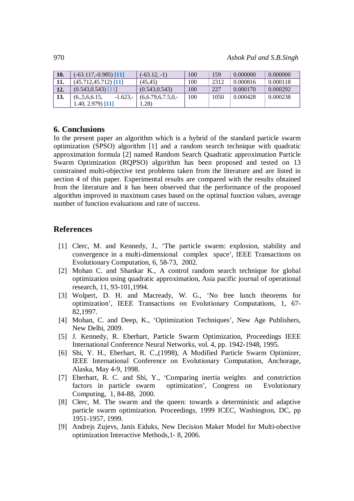| 10. | $(-63.117,-0.985)$ [11]       | $(-63.12,-1)$       | 100 | 159  | 0.000000 | 0.000000 |
|-----|-------------------------------|---------------------|-----|------|----------|----------|
| 11. | $(45.712, 45.712)$ [11]       | (45.45)             | 100 | 2312 | 0.000816 | 0.000118 |
| 12. | $(0.543, 0.543)$ [11]         | (0.543, 0.543)      | 100 | 227  | 0.000170 | 0.000292 |
| 13. | $-1.623-$<br>(6., 5, 6, 6.15, | $(6,6.79,6,7.5,0,-$ | 100 | 1050 | 0.000428 | 0.000238 |
|     | $1.40, 2.979$ [11]            | .28)                |     |      |          |          |

#### **6. Conclusions**

In the present paper an algorithm which is a hybrid of the standard particle swarm optimization (SPSO) algorithm [1] and a random search technique with quadratic approximation formula [2] named Random Search Quadratic approximation Particle Swarm Optimization (RQPSO) algorithm has been proposed and tested on 13 constrained multi-objective test problems taken from the literature and are listed in section 4 of this paper. Experimental results are compared with the results obtained from the literature and it has been observed that the performance of the proposed algorithm improved in maximum cases based on the optimal function values, average number of function evaluations and rate of success.

## **References**

- [1] Clerc, M. and Kennedy, J., 'The particle swarm: explosion, stability and convergence in a multi-dimensional complex space', IEEE Transactions on Evolutionary Computation, 6, 58-73, 2002.
- [2] Mohan C. and Shankar K., A control random search technique for global optimization using quadratic approximation, Asia pacific journal of operational research, 11, 93-101,1994.
- [3] Wolpert, D. H. and Macready, W. G., 'No free lunch theorems for optimization', IEEE Transactions on Evolutionary Computations, 1, 67- 82,1997.
- [4] Mohan, C. and Deep, K., 'Optimization Techniques', New Age Publishers, New Delhi, 2009.
- [5] J. Kennedy, R. Eberhart, Particle Swarm Optimization, Proceedings IEEE International Conference Neural Networks, vol. 4, pp. 1942-1948, 1995.
- [6] Shi, Y. H., Eberhart, R. C.,(1998), A Modified Particle Swarm Optimizer, IEEE International Conference on Evolutionary Computation, Anchorage, Alaska, May 4-9, 1998.
- [7] Eberhart, R. C. and Shi, Y., 'Comparing inertia weights and constriction factors in particle swarm optimization', Congress on Evolutionary Computing, 1, 84-88, 2000.
- [8] Clerc, M. The swarm and the queen: towards a deterministic and adaptive particle swarm optimization. Proceedings, 1999 ICEC, Washington, DC, pp 1951-1957, 1999.
- [9] Andrejs Zujevs, Janis Eiduks, New Decision Maker Model for Multi-obective optimization Interactive Methods,1- 8, 2006.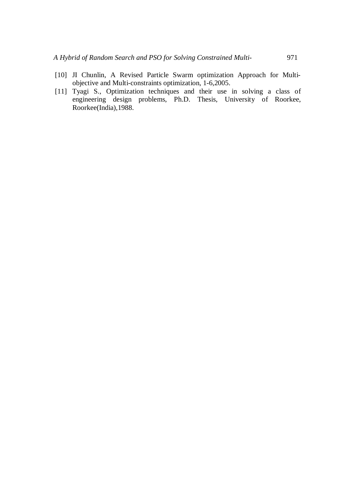- [10] JI Chunlin, A Revised Particle Swarm optimization Approach for Multiobjective and Multi-constraints optimization, 1-6,2005.
- [11] Tyagi S., Optimization techniques and their use in solving a class of engineering design problems, Ph.D. Thesis, University of Roorkee, Roorkee(India),1988.